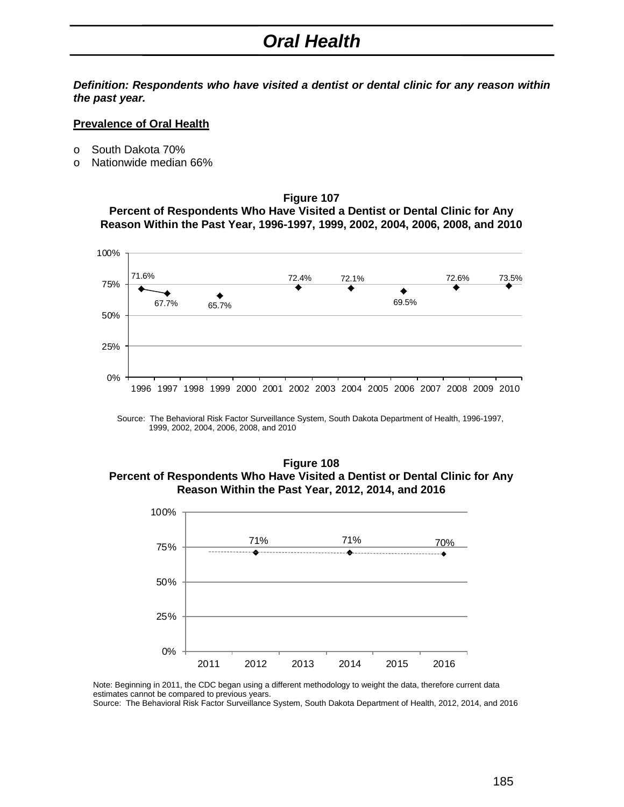## *Oral Health*

*Definition: Respondents who have visited a dentist or dental clinic for any reason within the past year.*

## **Prevalence of Oral Health**

- o South Dakota 70%
- o Nationwide median 66%

**Figure 107 Percent of Respondents Who Have Visited a Dentist or Dental Clinic for Any Reason Within the Past Year, 1996-1997, 1999, 2002, 2004, 2006, 2008, and 2010**



Source: The Behavioral Risk Factor Surveillance System, South Dakota Department of Health, 1996-1997, 1999, 2002, 2004, 2006, 2008, and 2010

## **Figure 108 Percent of Respondents Who Have Visited a Dentist or Dental Clinic for Any Reason Within the Past Year, 2012, 2014, and 2016**



Note: Beginning in 2011, the CDC began using a different methodology to weight the data, therefore current data estimates cannot be compared to previous years.

Source: The Behavioral Risk Factor Surveillance System, South Dakota Department of Health, 2012, 2014, and 2016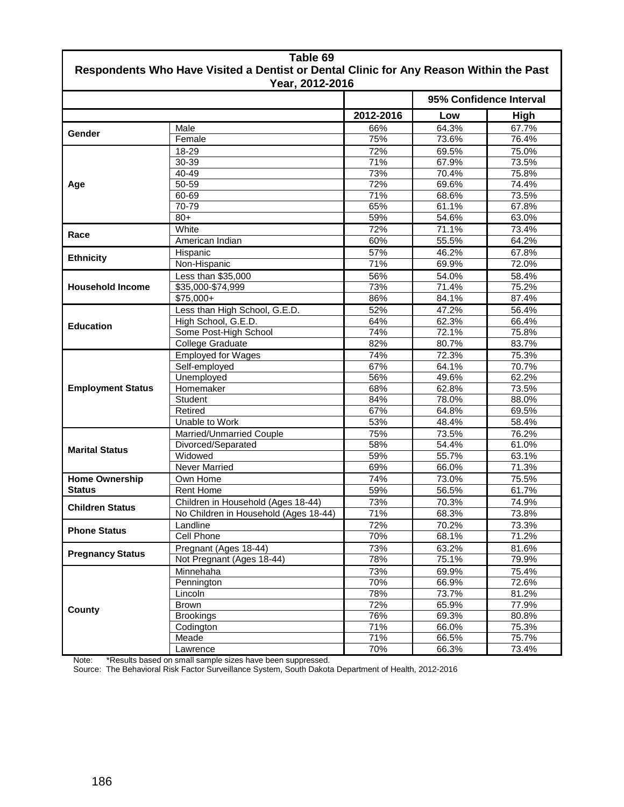| Table 69<br>Respondents Who Have Visited a Dentist or Dental Clinic for Any Reason Within the Past<br>Year, 2012-2016 |                                       |            |                         |                |
|-----------------------------------------------------------------------------------------------------------------------|---------------------------------------|------------|-------------------------|----------------|
|                                                                                                                       |                                       |            | 95% Confidence Interval |                |
|                                                                                                                       |                                       | 2012-2016  | Low                     | High           |
| Gender                                                                                                                | Male                                  | 66%        | 64.3%                   | 67.7%          |
|                                                                                                                       | Female                                | 75%        | 73.6%                   | 76.4%          |
| Age                                                                                                                   | 18-29                                 | 72%        | 69.5%                   | 75.0%          |
|                                                                                                                       | 30-39                                 | 71%        | 67.9%                   | 73.5%          |
|                                                                                                                       | 40-49                                 | 73%        | 70.4%                   | 75.8%          |
|                                                                                                                       | $50 - 59$                             | 72%        | 69.6%                   | 74.4%          |
|                                                                                                                       | 60-69                                 | 71%        | 68.6%                   | 73.5%          |
|                                                                                                                       | 70-79                                 | 65%        | 61.1%                   | 67.8%          |
|                                                                                                                       | $80+$                                 | 59%        | 54.6%                   | 63.0%          |
| Race                                                                                                                  | White                                 | 72%        | 71.1%                   | 73.4%          |
|                                                                                                                       | American Indian                       | 60%        | 55.5%                   | 64.2%          |
| <b>Ethnicity</b>                                                                                                      | Hispanic                              | 57%        | 46.2%                   | 67.8%          |
|                                                                                                                       | Non-Hispanic                          | 71%        | 69.9%                   | 72.0%          |
| <b>Household Income</b>                                                                                               | Less than \$35,000                    | 56%        | 54.0%                   | 58.4%          |
|                                                                                                                       | \$35,000-\$74,999                     | 73%        | 71.4%                   | 75.2%          |
|                                                                                                                       | $$75,000+$                            | 86%        | 84.1%                   | 87.4%          |
| <b>Education</b>                                                                                                      | Less than High School, G.E.D.         | 52%        | 47.2%                   | 56.4%          |
|                                                                                                                       | High School, G.E.D.                   | 64%        | 62.3%                   | 66.4%          |
|                                                                                                                       | Some Post-High School                 | 74%        | 72.1%                   | 75.8%          |
|                                                                                                                       | College Graduate                      | 82%        | 80.7%                   | 83.7%          |
| <b>Employment Status</b>                                                                                              | <b>Employed for Wages</b>             | 74%        | 72.3%                   | 75.3%          |
|                                                                                                                       | Self-employed                         | 67%<br>56% | 64.1%                   | 70.7%<br>62.2% |
|                                                                                                                       | Unemployed<br>Homemaker               | 68%        | 49.6%<br>62.8%          | 73.5%          |
|                                                                                                                       | Student                               | 84%        | 78.0%                   | 88.0%          |
|                                                                                                                       | Retired                               | 67%        | 64.8%                   | 69.5%          |
|                                                                                                                       | Unable to Work                        | 53%        | 48.4%                   | 58.4%          |
| <b>Marital Status</b>                                                                                                 | Married/Unmarried Couple              | 75%        | 73.5%                   | 76.2%          |
|                                                                                                                       | Divorced/Separated                    | 58%        | 54.4%                   | 61.0%          |
|                                                                                                                       | Widowed                               | 59%        | 55.7%                   | 63.1%          |
|                                                                                                                       | <b>Never Married</b>                  | 69%        | 66.0%                   | 71.3%          |
| <b>Home Ownership</b><br><b>Status</b>                                                                                | Own Home                              | 74%        | 73.0%                   | 75.5%          |
|                                                                                                                       | Rent Home                             | 59%        | 56.5%                   | 61.7%          |
| <b>Children Status</b>                                                                                                | Children in Household (Ages 18-44)    | 73%        | 70.3%                   | 74.9%          |
|                                                                                                                       | No Children in Household (Ages 18-44) | 71%        | 68.3%                   | 73.8%          |
| <b>Phone Status</b>                                                                                                   | Landline                              | 72%        | 70.2%                   | 73.3%          |
|                                                                                                                       | <b>Cell Phone</b>                     | 70%        | 68.1%                   | 71.2%          |
| <b>Pregnancy Status</b>                                                                                               | Pregnant (Ages 18-44)                 | 73%        | 63.2%                   | 81.6%          |
|                                                                                                                       | Not Pregnant (Ages 18-44)             | 78%        | 75.1%                   | 79.9%          |
| County                                                                                                                | Minnehaha                             | 73%        | 69.9%                   | 75.4%          |
|                                                                                                                       | Pennington                            | 70%        | 66.9%                   | 72.6%          |
|                                                                                                                       | Lincoln                               | 78%        | 73.7%                   | 81.2%          |
|                                                                                                                       | Brown                                 | 72%        | 65.9%                   | 77.9%          |
|                                                                                                                       | <b>Brookings</b>                      | 76%        | 69.3%                   | 80.8%          |
|                                                                                                                       | Codington                             | 71%        | 66.0%                   | 75.3%          |
|                                                                                                                       | Meade                                 | 71%        | 66.5%                   | 75.7%          |
|                                                                                                                       | Lawrence                              | 70%        | 66.3%                   | 73.4%          |

Note: \*Results based on small sample sizes have been suppressed.

Source: The Behavioral Risk Factor Surveillance System, South Dakota Department of Health, 2012-2016